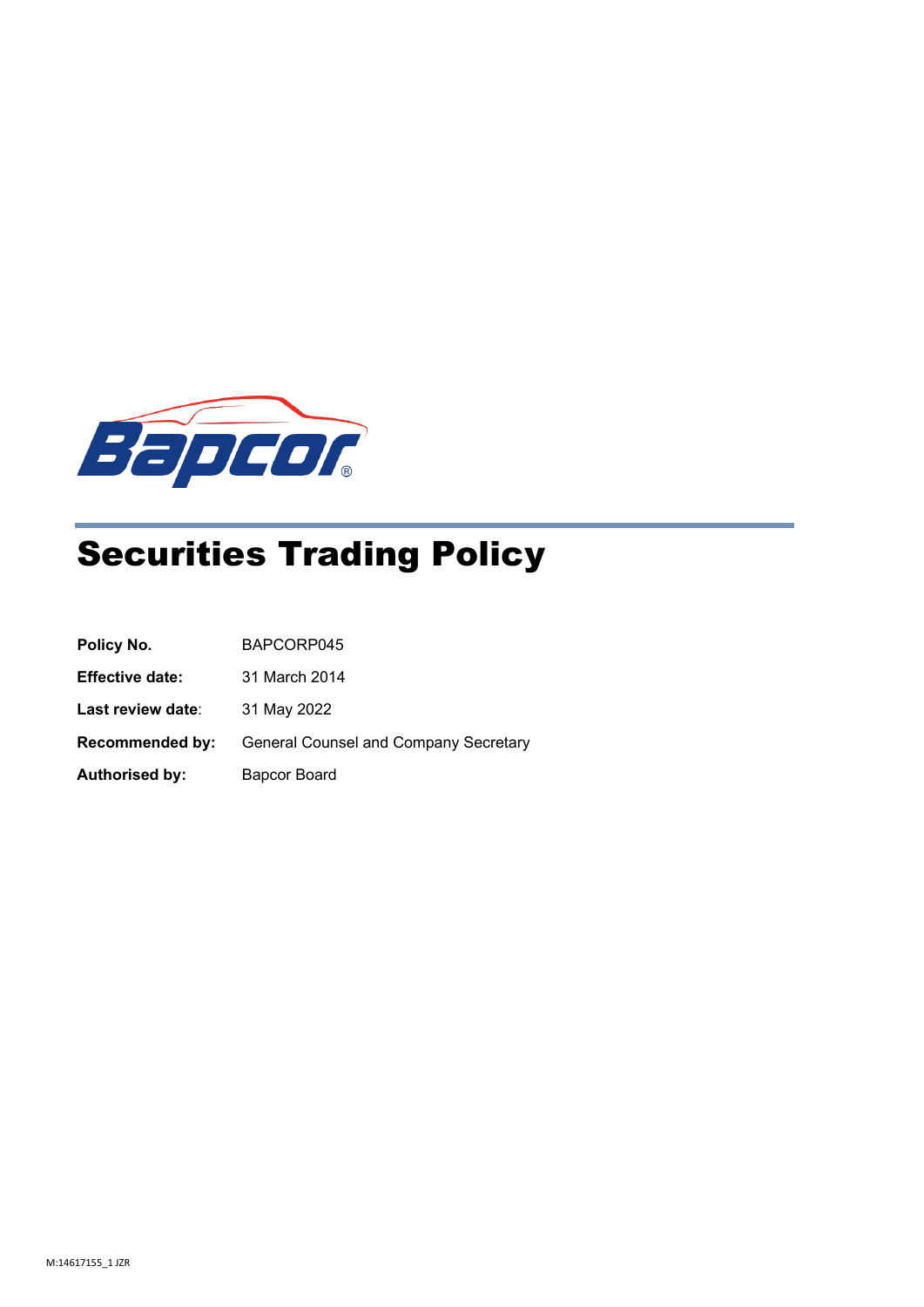

# Securities Trading Policy

| Policy No.             | BAPCORP045                            |
|------------------------|---------------------------------------|
| <b>Effective date:</b> | 31 March 2014                         |
| Last review date:      | 31 May 2022                           |
| <b>Recommended by:</b> | General Counsel and Company Secretary |
| <b>Authorised by:</b>  | <b>Bapcor Board</b>                   |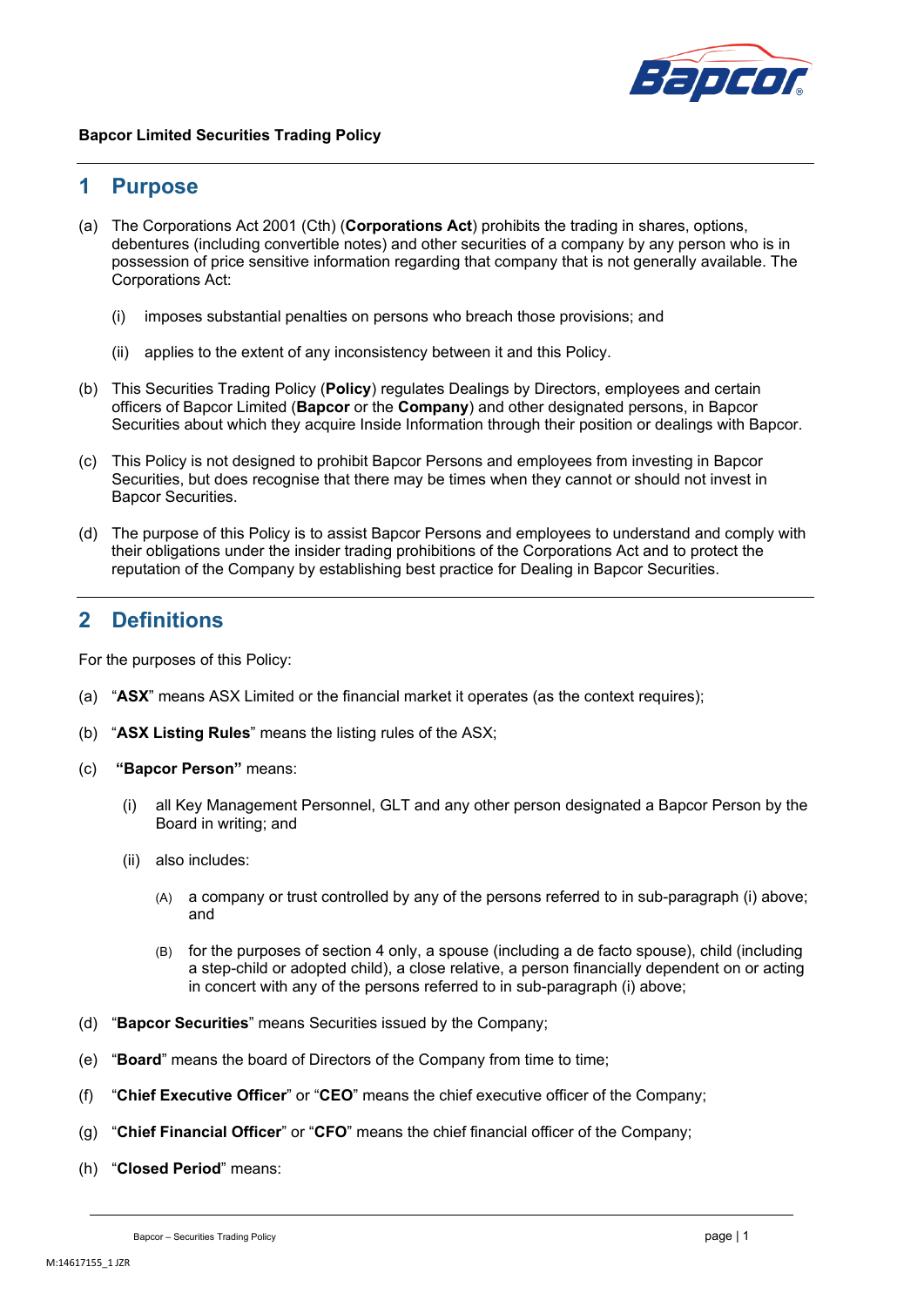

## **1 Purpose**

- (a) The Corporations Act 2001 (Cth) (**Corporations Act**) prohibits the trading in shares, options, debentures (including convertible notes) and other securities of a company by any person who is in possession of price sensitive information regarding that company that is not generally available. The Corporations Act:
	- (i) imposes substantial penalties on persons who breach those provisions; and
	- (ii) applies to the extent of any inconsistency between it and this Policy.
- (b) This Securities Trading Policy (**Policy**) regulates Dealings by Directors, employees and certain officers of Bapcor Limited (**Bapcor** or the **Company**) and other designated persons, in Bapcor Securities about which they acquire Inside Information through their position or dealings with Bapcor.
- (c) This Policy is not designed to prohibit Bapcor Persons and employees from investing in Bapcor Securities, but does recognise that there may be times when they cannot or should not invest in Bapcor Securities.
- (d) The purpose of this Policy is to assist Bapcor Persons and employees to understand and comply with their obligations under the insider trading prohibitions of the Corporations Act and to protect the reputation of the Company by establishing best practice for Dealing in Bapcor Securities.

## **2 Definitions**

For the purposes of this Policy:

- (a) "**ASX**" means ASX Limited or the financial market it operates (as the context requires);
- (b) "**ASX Listing Rules**" means the listing rules of the ASX;
- (c) **"Bapcor Person"** means:
	- (i) all Key Management Personnel, GLT and any other person designated a Bapcor Person by the Board in writing; and
	- (ii) also includes:
		- (A) a company or trust controlled by any of the persons referred to in sub-paragraph (i) above; and
		- (B) for the purposes of section [4](#page-3-0) only, a spouse (including a de facto spouse), child (including a step-child or adopted child), a close relative, a person financially dependent on or acting in concert with any of the persons referred to in sub-paragraph (i) above;
- (d) "**Bapcor Securities**" means Securities issued by the Company;
- (e) "**Board**" means the board of Directors of the Company from time to time;
- (f) "**Chief Executive Officer**" or "**CEO**" means the chief executive officer of the Company;
- (g) "**Chief Financial Officer**" or "**CFO**" means the chief financial officer of the Company;
- (h) "**Closed Period**" means: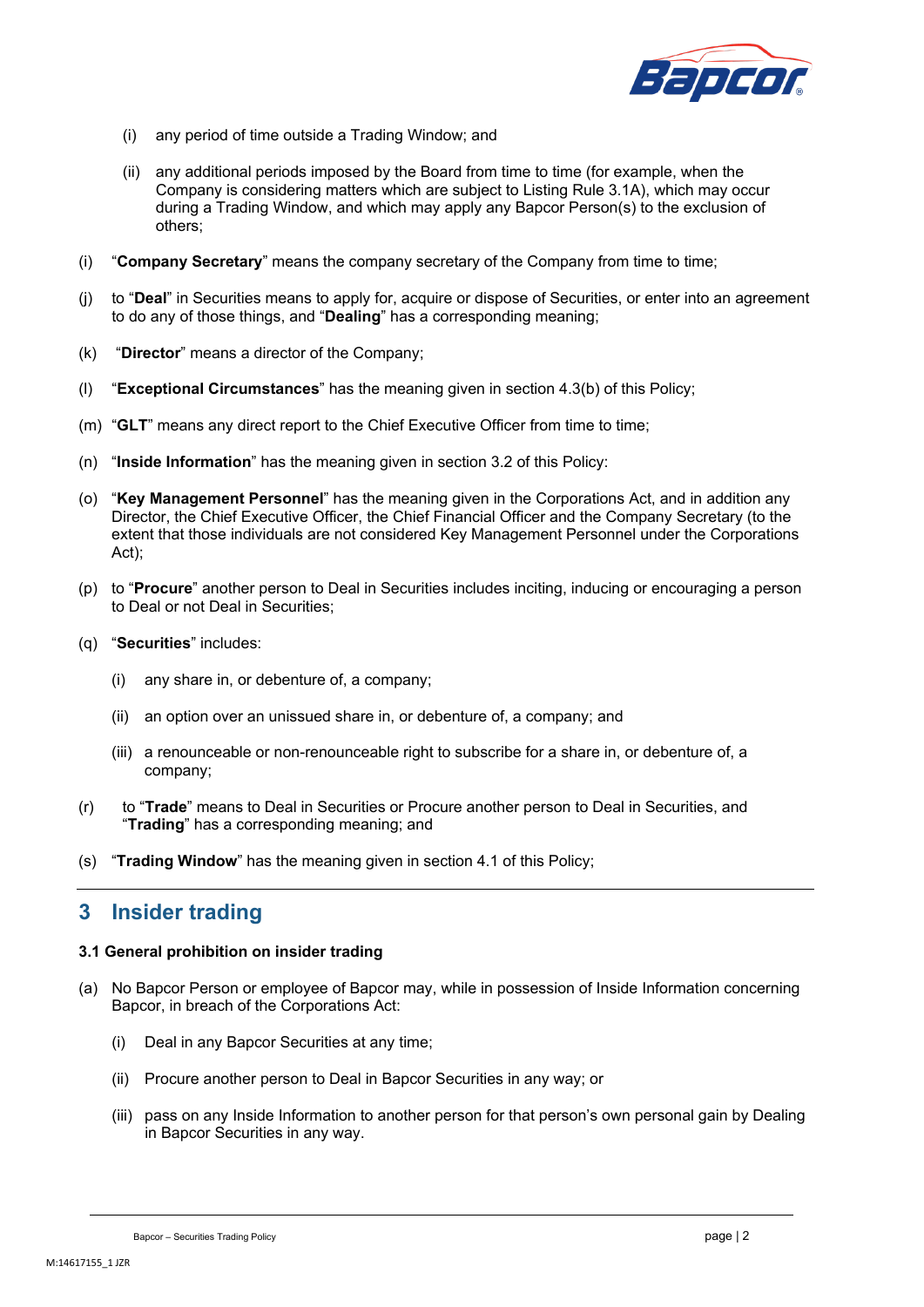

- (i) any period of time outside a Trading Window; and
- (ii) any additional periods imposed by the Board from time to time (for example, when the Company is considering matters which are subject to Listing Rule 3.1A), which may occur during a Trading Window, and which may apply any Bapcor Person(s) to the exclusion of others;
- (i) "**Company Secretary**" means the company secretary of the Company from time to time;
- (j) to "**Deal**" in Securities means to apply for, acquire or dispose of Securities, or enter into an agreement to do any of those things, and "**Dealing**" has a corresponding meaning;
- (k) "**Director**" means a director of the Company;
- (l) "**Exceptional Circumstances**" has the meaning given in section [4.3\(b\)](#page-4-0) of this Policy;
- (m) "**GLT**" means any direct report to the Chief Executive Officer from time to time;
- (n) "**Inside Information**" has the meaning given in section [3.2](#page-3-1) of this Policy:
- (o) "**Key Management Personnel**" has the meaning given in the Corporations Act, and in addition any Director, the Chief Executive Officer, the Chief Financial Officer and the Company Secretary (to the extent that those individuals are not considered Key Management Personnel under the Corporations Act);
- (p) to "**Procure**" another person to Deal in Securities includes inciting, inducing or encouraging a person to Deal or not Deal in Securities;
- (q) "**Securities**" includes:
	- (i) any share in, or debenture of, a company;
	- (ii) an option over an unissued share in, or debenture of, a company; and
	- (iii) a renounceable or non-renounceable right to subscribe for a share in, or debenture of, a company;
- (r) to "**Trade**" means to Deal in Securities or Procure another person to Deal in Securities, and "**Trading**" has a corresponding meaning; and
- (s) "**Trading Window**" has the meaning given in section [4.1](#page-3-2) of this Policy;

## **3 Insider trading**

#### **3.1 General prohibition on insider trading**

- (a) No Bapcor Person or employee of Bapcor may, while in possession of Inside Information concerning Bapcor, in breach of the Corporations Act:
	- (i) Deal in any Bapcor Securities at any time;
	- (ii) Procure another person to Deal in Bapcor Securities in any way; or
	- (iii) pass on any Inside Information to another person for that person's own personal gain by Dealing in Bapcor Securities in any way.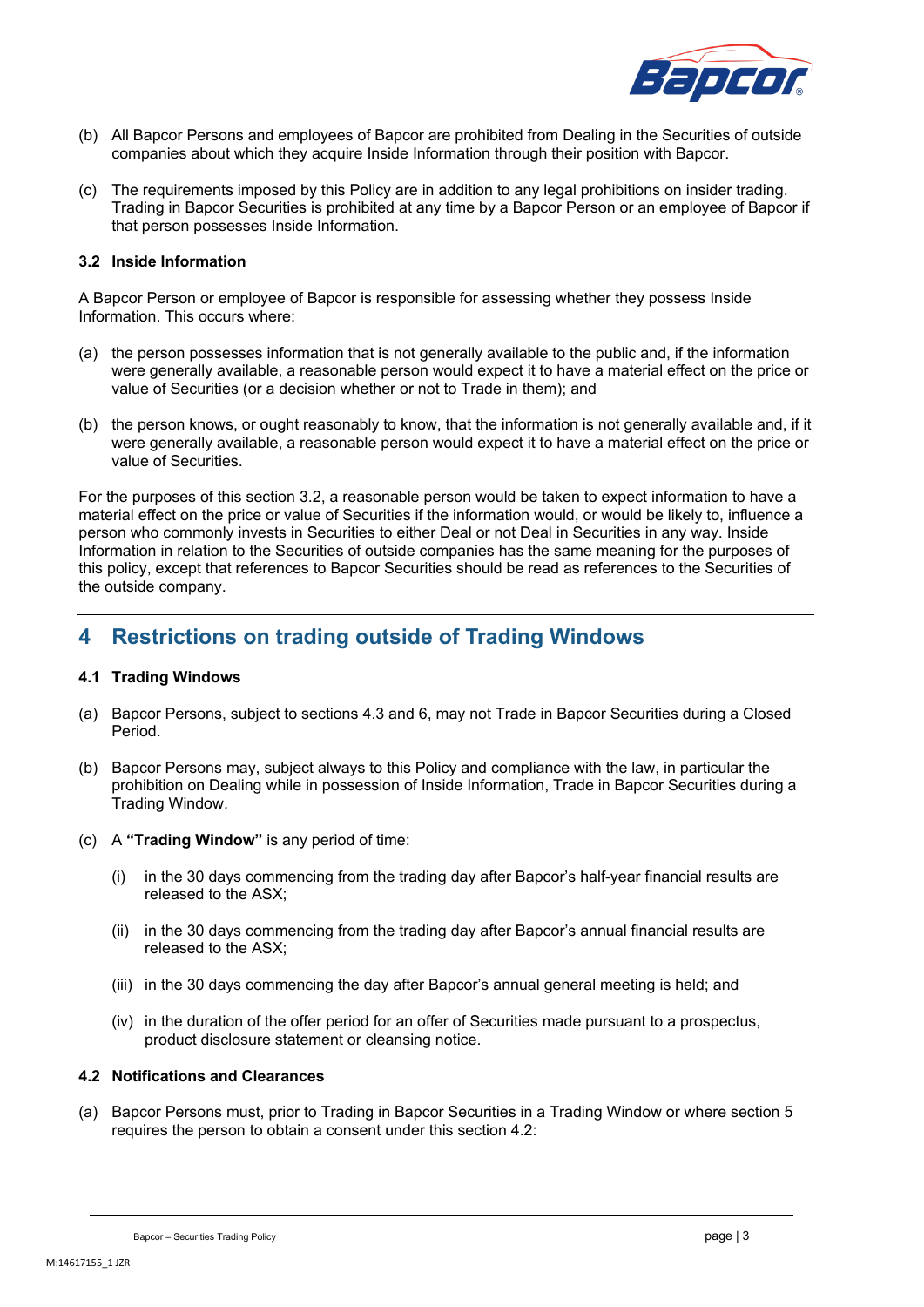

- (b) All Bapcor Persons and employees of Bapcor are prohibited from Dealing in the Securities of outside companies about which they acquire Inside Information through their position with Bapcor.
- (c) The requirements imposed by this Policy are in addition to any legal prohibitions on insider trading. Trading in Bapcor Securities is prohibited at any time by a Bapcor Person or an employee of Bapcor if that person possesses Inside Information.

#### <span id="page-3-1"></span>**3.2 Inside Information**

A Bapcor Person or employee of Bapcor is responsible for assessing whether they possess Inside Information. This occurs where:

- (a) the person possesses information that is not generally available to the public and, if the information were generally available, a reasonable person would expect it to have a material effect on the price or value of Securities (or a decision whether or not to Trade in them); and
- (b) the person knows, or ought reasonably to know, that the information is not generally available and, if it were generally available, a reasonable person would expect it to have a material effect on the price or value of Securities.

For the purposes of this section [3.2,](#page-3-1) a reasonable person would be taken to expect information to have a material effect on the price or value of Securities if the information would, or would be likely to, influence a person who commonly invests in Securities to either Deal or not Deal in Securities in any way. Inside Information in relation to the Securities of outside companies has the same meaning for the purposes of this policy, except that references to Bapcor Securities should be read as references to the Securities of the outside company.

## <span id="page-3-0"></span>**4 Restrictions on trading outside of Trading Windows**

### <span id="page-3-2"></span>**4.1 Trading Windows**

- (a) Bapcor Persons, subject to section[s 4.3](#page-4-1) and [6,](#page-6-0) may not Trade in Bapcor Securities during a Closed Period.
- (b) Bapcor Persons may, subject always to this Policy and compliance with the law, in particular the prohibition on Dealing while in possession of Inside Information, Trade in Bapcor Securities during a Trading Window.
- (c) A **"Trading Window"** is any period of time:
	- (i) in the 30 days commencing from the trading day after Bapcor's half-year financial results are released to the ASX;
	- (ii) in the 30 days commencing from the trading day after Bapcor's annual financial results are released to the ASX;
	- (iii) in the 30 days commencing the day after Bapcor's annual general meeting is held; and
	- (iv) in the duration of the offer period for an offer of Securities made pursuant to a prospectus, product disclosure statement or cleansing notice.

#### <span id="page-3-3"></span>**4.2 Notifications and Clearances**

<span id="page-3-4"></span>(a) Bapcor Persons must, prior to Trading in Bapcor Securities in a Trading Window or where section [5](#page-5-0) requires the person to obtain a consent under this section [4.2:](#page-3-3)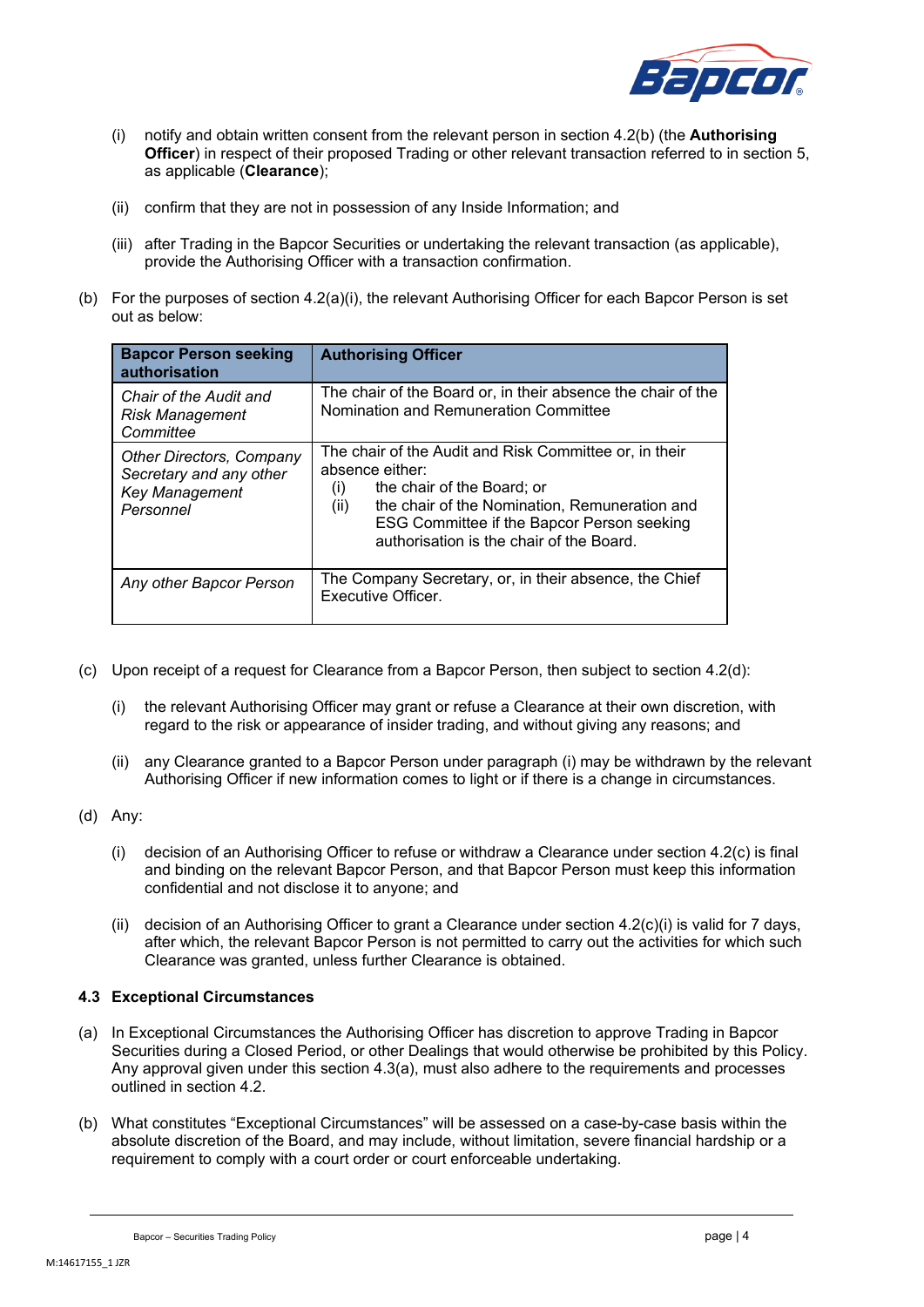

- (i) notify and obtain written consent from the relevant person in section [4.2\(b\)](#page-4-2) (the **Authorising Officer**) in respect of their proposed Trading or other relevant transaction referred to in section 5, as applicable (**Clearance**);
- (ii) confirm that they are not in possession of any Inside Information; and
- (iii) after Trading in the Bapcor Securities or undertaking the relevant transaction (as applicable), provide the Authorising Officer with a transaction confirmation.
- <span id="page-4-2"></span>(b) For the purposes of section [4.2\(a\)\(i\),](#page-3-4) the relevant Authorising Officer for each Bapcor Person is set out as below:

| <b>Bapcor Person seeking</b><br>authorisation                                             | <b>Authorising Officer</b>                                                                                                                                                                                                                                                      |  |
|-------------------------------------------------------------------------------------------|---------------------------------------------------------------------------------------------------------------------------------------------------------------------------------------------------------------------------------------------------------------------------------|--|
| Chair of the Audit and<br><b>Risk Management</b><br>Committee                             | The chair of the Board or, in their absence the chair of the<br>Nomination and Remuneration Committee                                                                                                                                                                           |  |
| <b>Other Directors, Company</b><br>Secretary and any other<br>Key Management<br>Personnel | The chair of the Audit and Risk Committee or, in their<br>absence either:<br>the chair of the Board; or<br>$\left( 1\right)$<br>the chair of the Nomination, Remuneration and<br>(ii)<br>ESG Committee if the Bapcor Person seeking<br>authorisation is the chair of the Board. |  |
| Any other Bapcor Person                                                                   | The Company Secretary, or, in their absence, the Chief<br>Executive Officer.                                                                                                                                                                                                    |  |

- <span id="page-4-5"></span><span id="page-4-4"></span>(c) Upon receipt of a request for Clearance from a Bapcor Person, then subject to section [4.2\(d\):](#page-4-3)
	- (i) the relevant Authorising Officer may grant or refuse a Clearance at their own discretion, with regard to the risk or appearance of insider trading, and without giving any reasons; and
	- (ii) any Clearance granted to a Bapcor Person under paragraph [\(i\)](#page-4-4) may be withdrawn by the relevant Authorising Officer if new information comes to light or if there is a change in circumstances.
- <span id="page-4-3"></span>(d) Any:
	- (i) decision of an Authorising Officer to refuse or withdraw a Clearance under section [4.2\(c\)](#page-4-5) is final and binding on the relevant Bapcor Person, and that Bapcor Person must keep this information confidential and not disclose it to anyone; and
	- (ii) decision of an Authorising Officer to grant a Clearance under section [4.2\(c\)\(i\)](#page-4-4) is valid for 7 days, after which, the relevant Bapcor Person is not permitted to carry out the activities for which such Clearance was granted, unless further Clearance is obtained.

## <span id="page-4-1"></span>**4.3 Exceptional Circumstances**

- <span id="page-4-6"></span>(a) In Exceptional Circumstances the Authorising Officer has discretion to approve Trading in Bapcor Securities during a Closed Period, or other Dealings that would otherwise be prohibited by this Policy. Any approval given under this section [4.3\(a\),](#page-4-6) must also adhere to the requirements and processes outlined in section [4.2.](#page-3-3)
- <span id="page-4-0"></span>(b) What constitutes "Exceptional Circumstances" will be assessed on a case-by-case basis within the absolute discretion of the Board, and may include, without limitation, severe financial hardship or a requirement to comply with a court order or court enforceable undertaking.

Bapcor – Securities Trading Policy page | 4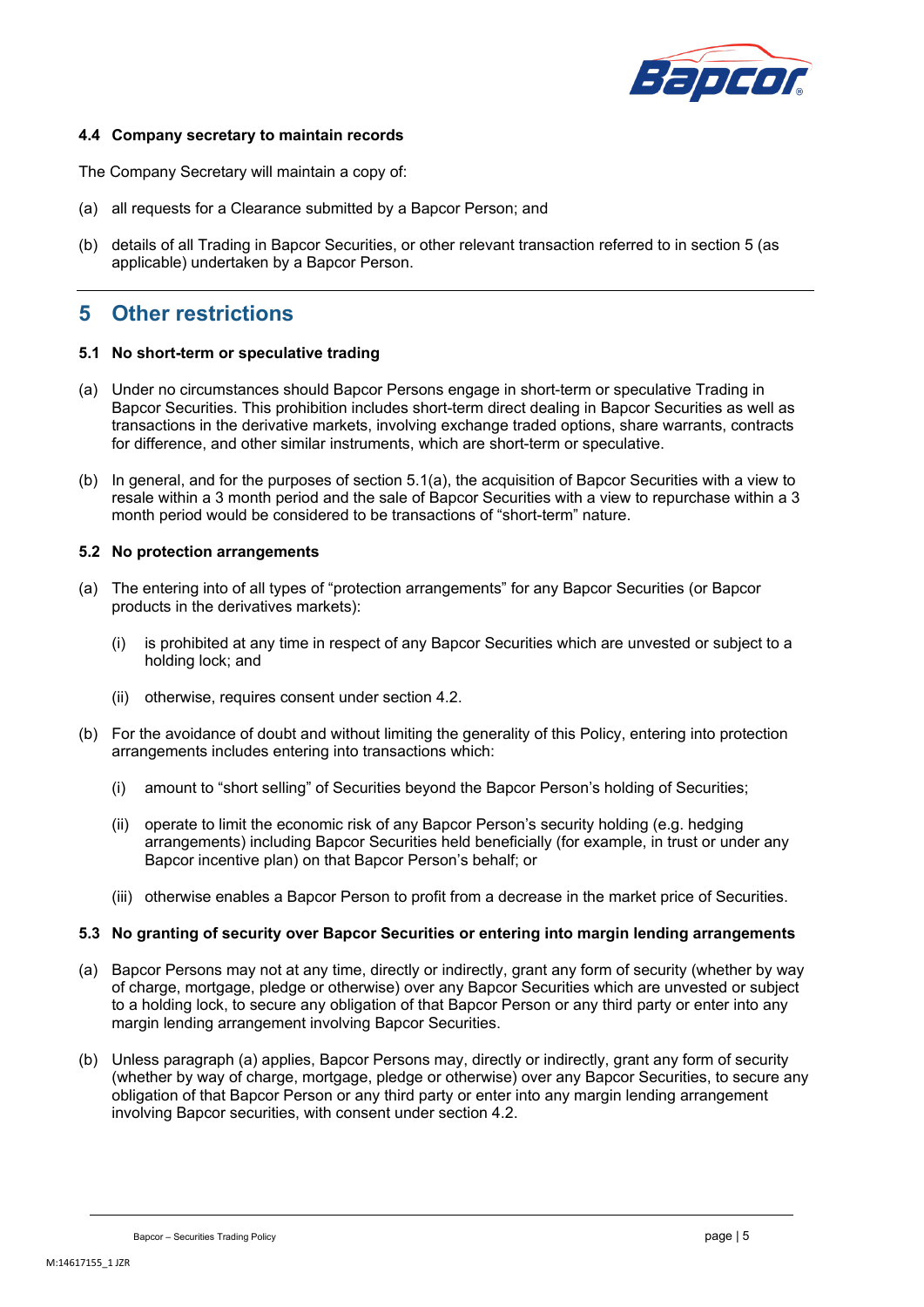

#### **4.4 Company secretary to maintain records**

The Company Secretary will maintain a copy of:

- (a) all requests for a Clearance submitted by a Bapcor Person; and
- (b) details of all Trading in Bapcor Securities, or other relevant transaction referred to in section 5 (as applicable) undertaken by a Bapcor Person.

## <span id="page-5-0"></span>**5 Other restrictions**

#### **5.1 No short-term or speculative trading**

- <span id="page-5-1"></span>(a) Under no circumstances should Bapcor Persons engage in short-term or speculative Trading in Bapcor Securities. This prohibition includes short-term direct dealing in Bapcor Securities as well as transactions in the derivative markets, involving exchange traded options, share warrants, contracts for difference, and other similar instruments, which are short-term or speculative.
- (b) In general, and for the purposes of section [5.1\(a\),](#page-5-1) the acquisition of Bapcor Securities with a view to resale within a 3 month period and the sale of Bapcor Securities with a view to repurchase within a 3 month period would be considered to be transactions of "short-term" nature.

#### **5.2 No protection arrangements**

- (a) The entering into of all types of "protection arrangements" for any Bapcor Securities (or Bapcor products in the derivatives markets):
	- (i) is prohibited at any time in respect of any Bapcor Securities which are unvested or subject to a holding lock; and
	- (ii) otherwise, requires consent under section [4.2.](#page-3-3)
- (b) For the avoidance of doubt and without limiting the generality of this Policy, entering into protection arrangements includes entering into transactions which:
	- (i) amount to "short selling" of Securities beyond the Bapcor Person's holding of Securities;
	- (ii) operate to limit the economic risk of any Bapcor Person's security holding (e.g. hedging arrangements) including Bapcor Securities held beneficially (for example, in trust or under any Bapcor incentive plan) on that Bapcor Person's behalf; or
	- (iii) otherwise enables a Bapcor Person to profit from a decrease in the market price of Securities.

#### **5.3 No granting of security over Bapcor Securities or entering into margin lending arrangements**

- <span id="page-5-2"></span>(a) Bapcor Persons may not at any time, directly or indirectly, grant any form of security (whether by way of charge, mortgage, pledge or otherwise) over any Bapcor Securities which are unvested or subject to a holding lock, to secure any obligation of that Bapcor Person or any third party or enter into any margin lending arrangement involving Bapcor Securities.
- (b) Unless paragrap[h \(a\)](#page-5-2) applies, Bapcor Persons may, directly or indirectly, grant any form of security (whether by way of charge, mortgage, pledge or otherwise) over any Bapcor Securities, to secure any obligation of that Bapcor Person or any third party or enter into any margin lending arrangement involving Bapcor securities, with consent under section [4.2.](#page-3-3)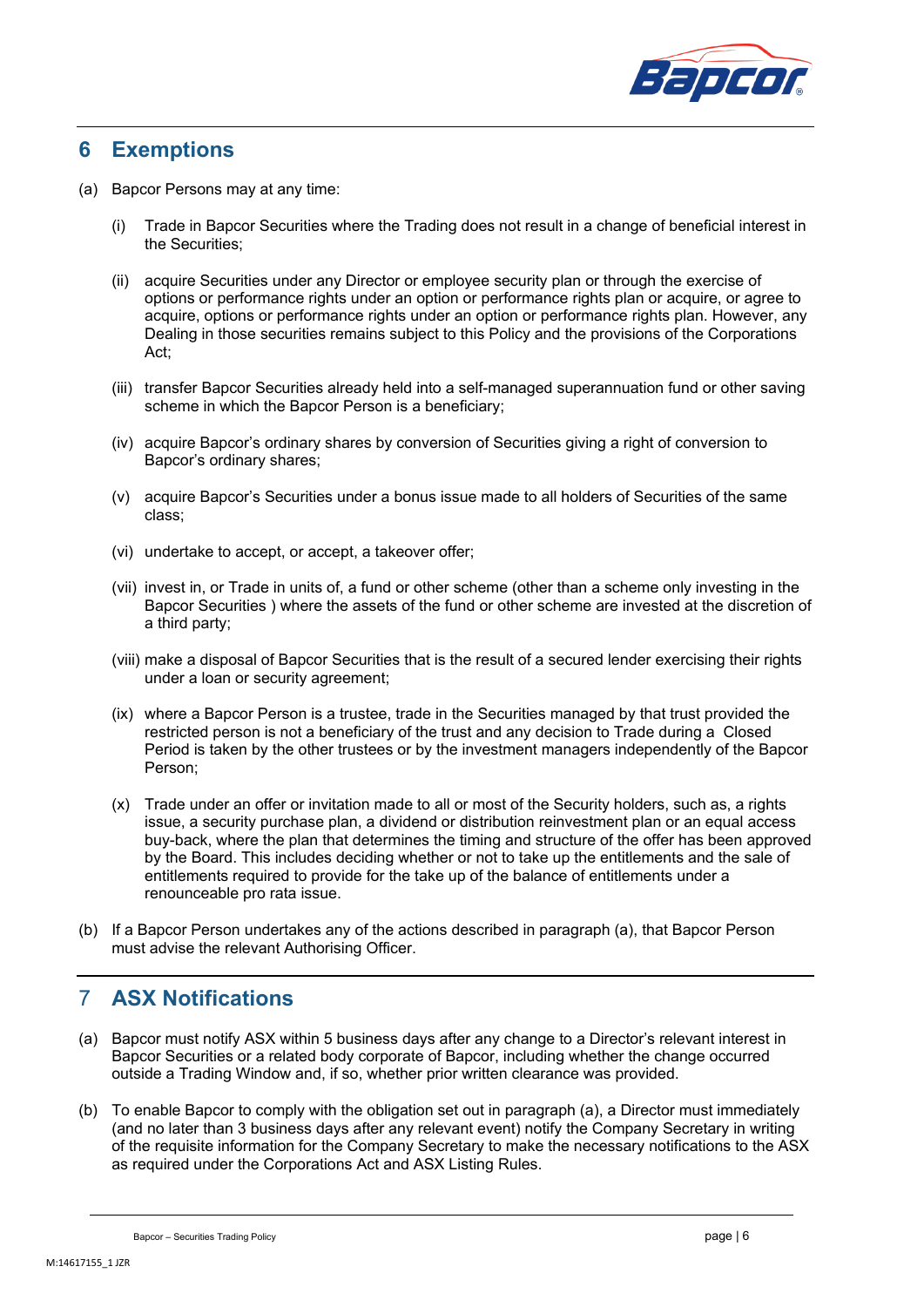

## <span id="page-6-0"></span>**6 Exemptions**

- <span id="page-6-1"></span>(a) Bapcor Persons may at any time:
	- (i) Trade in Bapcor Securities where the Trading does not result in a change of beneficial interest in the Securities;
	- (ii) acquire Securities under any Director or employee security plan or through the exercise of options or performance rights under an option or performance rights plan or acquire, or agree to acquire, options or performance rights under an option or performance rights plan. However, any Dealing in those securities remains subject to this Policy and the provisions of the Corporations Act;
	- (iii) transfer Bapcor Securities already held into a self-managed superannuation fund or other saving scheme in which the Bapcor Person is a beneficiary;
	- (iv) acquire Bapcor's ordinary shares by conversion of Securities giving a right of conversion to Bapcor's ordinary shares;
	- (v) acquire Bapcor's Securities under a bonus issue made to all holders of Securities of the same class;
	- (vi) undertake to accept, or accept, a takeover offer;
	- (vii) invest in, or Trade in units of, a fund or other scheme (other than a scheme only investing in the Bapcor Securities ) where the assets of the fund or other scheme are invested at the discretion of a third party;
	- (viii) make a disposal of Bapcor Securities that is the result of a secured lender exercising their rights under a loan or security agreement;
	- (ix) where a Bapcor Person is a trustee, trade in the Securities managed by that trust provided the restricted person is not a beneficiary of the trust and any decision to Trade during a Closed Period is taken by the other trustees or by the investment managers independently of the Bapcor Person;
	- (x) Trade under an offer or invitation made to all or most of the Security holders, such as, a rights issue, a security purchase plan, a dividend or distribution reinvestment plan or an equal access buy-back, where the plan that determines the timing and structure of the offer has been approved by the Board. This includes deciding whether or not to take up the entitlements and the sale of entitlements required to provide for the take up of the balance of entitlements under a renounceable pro rata issue.
- (b) If a Bapcor Person undertakes any of the actions described in paragraph [\(a\),](#page-6-1) that Bapcor Person must advise the relevant Authorising Officer.

# 7 **ASX Notifications**

- (a) Bapcor must notify ASX within 5 business days after any change to a Director's relevant interest in Bapcor Securities or a related body corporate of Bapcor, including whether the change occurred outside a Trading Window and, if so, whether prior written clearance was provided.
- (b) To enable Bapcor to comply with the obligation set out in paragraph [\(a\),](#page-6-1) a Director must immediately (and no later than 3 business days after any relevant event) notify the Company Secretary in writing of the requisite information for the Company Secretary to make the necessary notifications to the ASX as required under the Corporations Act and ASX Listing Rules.